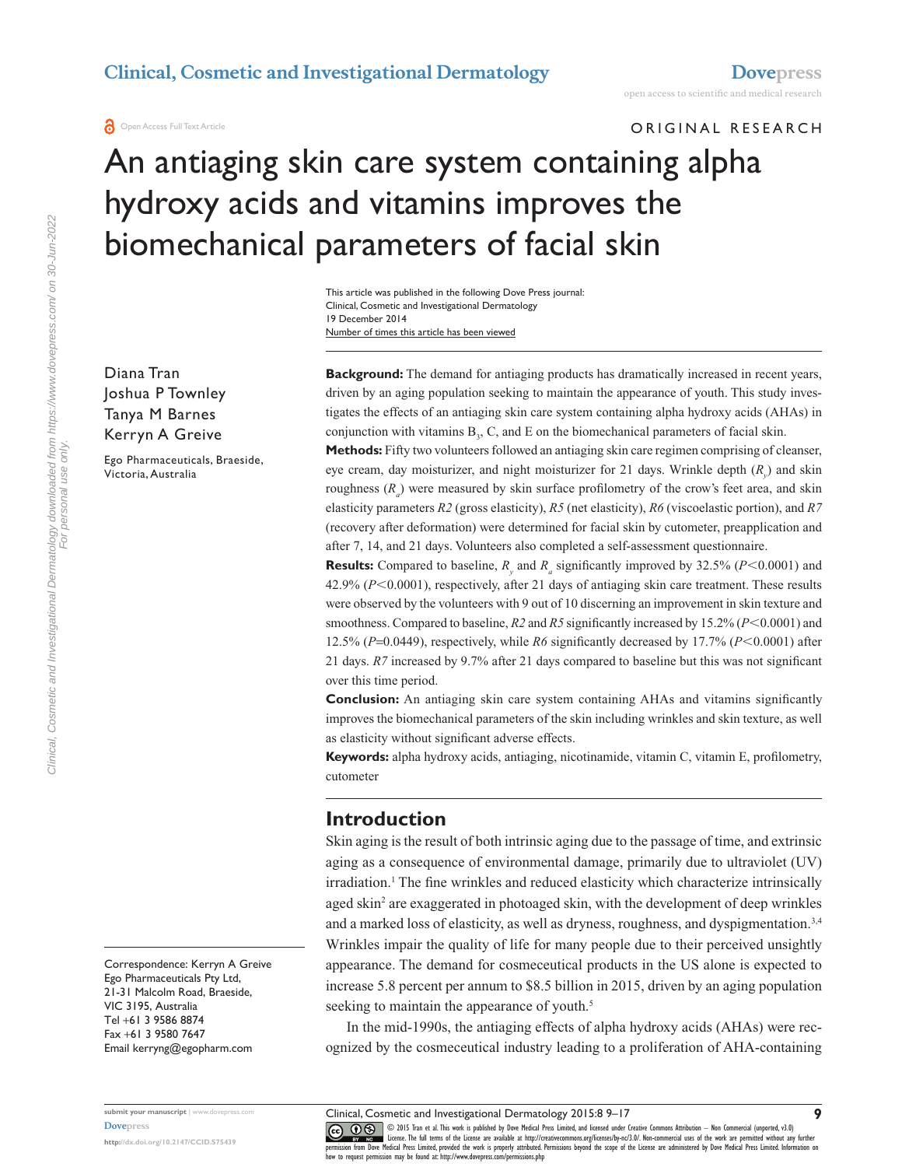**a** Open Access Full Text Article

# ORIGINAL RESEARCH

# An antiaging skin care system containing alpha hydroxy acids and vitamins improves the biomechanical parameters of facial skin

Number of times this article has been viewed This article was published in the following Dove Press journal: Clinical, Cosmetic and Investigational Dermatology 19 December 2014

Diana Tran Joshua P Townley Tanya M Barnes Kerryn A Greive

Ego Pharmaceuticals, Braeside, Victoria, Australia

**Background:** The demand for antiaging products has dramatically increased in recent years, driven by an aging population seeking to maintain the appearance of youth. This study investigates the effects of an antiaging skin care system containing alpha hydroxy acids (AHAs) in conjunction with vitamins  $B_3$ , C, and E on the biomechanical parameters of facial skin.

**Methods:** Fifty two volunteers followed an antiaging skin care regimen comprising of cleanser, eye cream, day moisturizer, and night moisturizer for 21 days. Wrinkle depth ( $R<sub>y</sub>$ ) and skin roughness ( $R_a$ ) were measured by skin surface profilometry of the crow's feet area, and skin elasticity parameters *R2* (gross elasticity), *R5* (net elasticity), *R6* (viscoelastic portion), and *R7* (recovery after deformation) were determined for facial skin by cutometer, preapplication and after 7, 14, and 21 days. Volunteers also completed a self-assessment questionnaire.

**Results:** Compared to baseline,  $R_y$  and  $R_a$  significantly improved by 32.5% ( $P$ <0.0001) and 42.9% ( $P$ <0.0001), respectively, after 21 days of antiaging skin care treatment. These results were observed by the volunteers with 9 out of 10 discerning an improvement in skin texture and smoothness. Compared to baseline,  $R2$  and  $R5$  significantly increased by 15.2% ( $P \le 0.0001$ ) and 12.5% ( $P=0.0449$ ), respectively, while *R6* significantly decreased by 17.7% ( $P<0.0001$ ) after 21 days. *R7* increased by 9.7% after 21 days compared to baseline but this was not significant over this time period.

**Conclusion:** An antiaging skin care system containing AHAs and vitamins significantly improves the biomechanical parameters of the skin including wrinkles and skin texture, as well as elasticity without significant adverse effects.

**Keywords:** alpha hydroxy acids, antiaging, nicotinamide, vitamin C, vitamin E, profilometry, cutometer

# **Introduction**

Skin aging is the result of both intrinsic aging due to the passage of time, and extrinsic aging as a consequence of environmental damage, primarily due to ultraviolet (UV) irradiation.<sup>1</sup> The fine wrinkles and reduced elasticity which characterize intrinsically aged skin<sup>2</sup> are exaggerated in photoaged skin, with the development of deep wrinkles and a marked loss of elasticity, as well as dryness, roughness, and dyspigmentation.<sup>3,4</sup> Wrinkles impair the quality of life for many people due to their perceived unsightly appearance. The demand for cosmeceutical products in the US alone is expected to increase 5.8 percent per annum to \$8.5 billion in 2015, driven by an aging population seeking to maintain the appearance of youth.<sup>5</sup>

In the mid-1990s, the antiaging effects of alpha hydroxy acids (AHAs) were recognized by the cosmeceutical industry leading to a proliferation of AHA-containing

**9**

Correspondence: Kerryn A Greive Ego Pharmaceuticals Pty Ltd, 21-31 Malcolm Road, Braeside, VIC 3195, Australia Tel +61 3 9586 8874 Fax +61 3 9580 7647 Email [kerryng@egopharm.com](mailto:kerryng@egopharm.com)

**submit your manuscript** | <www.dovepress.com> **[Dovepress](www.dovepress.com)**

**<http://dx.doi.org/10.2147/CCID.S75439>**

CO ODIS Tran et al. This work is published by Dove Medical Press Limited, and licensed under Creative Commons Attribution - Non Commercial (unported, v3.0)<br> [permission from Dove M](http://www.dovepress.com/permissions.php)edical Press Limited, provided the work is how to request permission may be found at:<http://www.dovepress.com/permissions.php>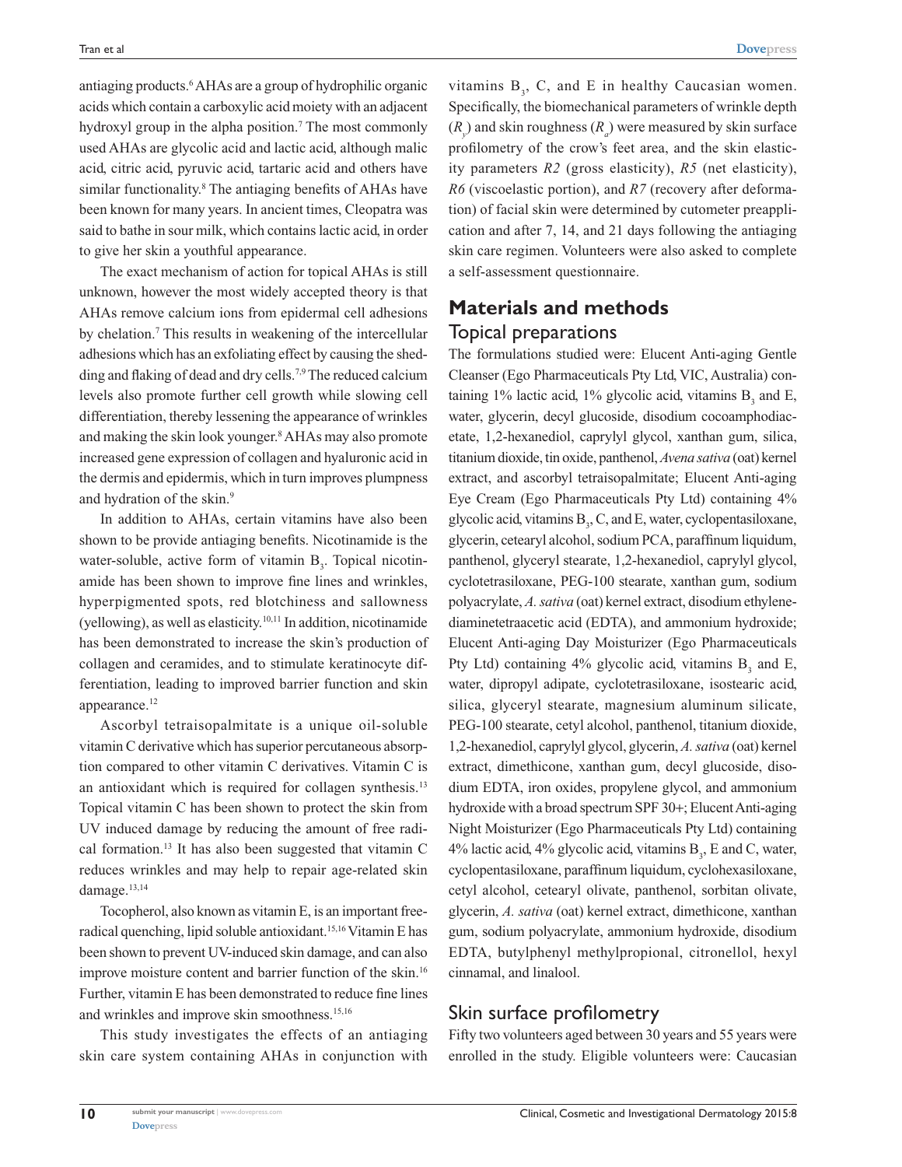antiaging products.6 AHAs are a group of hydrophilic organic acids which contain a carboxylic acid moiety with an adjacent hydroxyl group in the alpha position.<sup>7</sup> The most commonly used AHAs are glycolic acid and lactic acid, although malic acid, citric acid, pyruvic acid, tartaric acid and others have similar functionality.<sup>8</sup> The antiaging benefits of AHAs have been known for many years. In ancient times, Cleopatra was said to bathe in sour milk, which contains lactic acid, in order to give her skin a youthful appearance.

The exact mechanism of action for topical AHAs is still unknown, however the most widely accepted theory is that AHAs remove calcium ions from epidermal cell adhesions by chelation.7 This results in weakening of the intercellular adhesions which has an exfoliating effect by causing the shedding and flaking of dead and dry cells.<sup>7,9</sup> The reduced calcium levels also promote further cell growth while slowing cell differentiation, thereby lessening the appearance of wrinkles and making the skin look younger.8 AHAs may also promote increased gene expression of collagen and hyaluronic acid in the dermis and epidermis, which in turn improves plumpness and hydration of the skin.9

In addition to AHAs, certain vitamins have also been shown to be provide antiaging benefits. Nicotinamide is the water-soluble, active form of vitamin  $B_3$ . Topical nicotinamide has been shown to improve fine lines and wrinkles, hyperpigmented spots, red blotchiness and sallowness (yellowing), as well as elasticity.10,11 In addition, nicotinamide has been demonstrated to increase the skin's production of collagen and ceramides, and to stimulate keratinocyte differentiation, leading to improved barrier function and skin appearance.<sup>12</sup>

Ascorbyl tetraisopalmitate is a unique oil-soluble vitamin C derivative which has superior percutaneous absorption compared to other vitamin C derivatives. Vitamin C is an antioxidant which is required for collagen synthesis.<sup>13</sup> Topical vitamin C has been shown to protect the skin from UV induced damage by reducing the amount of free radical formation.13 It has also been suggested that vitamin C reduces wrinkles and may help to repair age-related skin damage.<sup>13,14</sup>

Tocopherol, also known as vitamin E, is an important freeradical quenching, lipid soluble antioxidant.15,16 Vitamin E has been shown to prevent UV-induced skin damage, and can also improve moisture content and barrier function of the skin.<sup>16</sup> Further, vitamin E has been demonstrated to reduce fine lines and wrinkles and improve skin smoothness.<sup>15,16</sup>

This study investigates the effects of an antiaging skin care system containing AHAs in conjunction with

vitamins  $B_3$ , C, and E in healthy Caucasian women. Specifically, the biomechanical parameters of wrinkle depth  $(R_y)$  and skin roughness  $(R_a)$  were measured by skin surface profilometry of the crow's feet area, and the skin elasticity parameters *R2* (gross elasticity), *R5* (net elasticity), *R6* (viscoelastic portion), and *R7* (recovery after deformation) of facial skin were determined by cutometer preapplication and after 7, 14, and 21 days following the antiaging skin care regimen. Volunteers were also asked to complete a self-assessment questionnaire.

# **Materials and methods** Topical preparations

The formulations studied were: Elucent Anti-aging Gentle Cleanser (Ego Pharmaceuticals Pty Ltd, VIC, Australia) containing 1% lactic acid, 1% glycolic acid, vitamins  $B_3$  and  $E$ , water, glycerin, decyl glucoside, disodium cocoamphodiacetate, 1,2-hexanediol, caprylyl glycol, xanthan gum, silica, titanium dioxide, tin oxide, panthenol, *Avena sativa* (oat) kernel extract, and ascorbyl tetraisopalmitate; Elucent Anti-aging Eye Cream (Ego Pharmaceuticals Pty Ltd) containing 4% glycolic acid, vitamins  $B_3$ , C, and E, water, cyclopentasiloxane, glycerin, cetearyl alcohol, sodium PCA, paraffinum liquidum, panthenol, glyceryl stearate, 1,2-hexanediol, caprylyl glycol, cyclotetrasiloxane, PEG-100 stearate, xanthan gum, sodium polyacrylate, *A. sativa* (oat) kernel extract, disodium ethylenediaminetetraacetic acid (EDTA), and ammonium hydroxide; Elucent Anti-aging Day Moisturizer (Ego Pharmaceuticals Pty Ltd) containing  $4\%$  glycolic acid, vitamins  $B_3$  and E, water, dipropyl adipate, cyclotetrasiloxane, isostearic acid, silica, glyceryl stearate, magnesium aluminum silicate, PEG-100 stearate, cetyl alcohol, panthenol, titanium dioxide, 1,2-hexanediol, caprylyl glycol, glycerin, *A. sativa* (oat) kernel extract, dimethicone, xanthan gum, decyl glucoside, disodium EDTA, iron oxides, propylene glycol, and ammonium hydroxide with a broad spectrum SPF 30+; Elucent Anti-aging Night Moisturizer (Ego Pharmaceuticals Pty Ltd) containing 4% lactic acid, 4% glycolic acid, vitamins  $B_3$ , E and C, water, cyclopentasiloxane, paraffinum liquidum, cyclohexasiloxane, cetyl alcohol, cetearyl olivate, panthenol, sorbitan olivate, glycerin, *A. sativa* (oat) kernel extract, dimethicone, xanthan gum, sodium polyacrylate, ammonium hydroxide, disodium EDTA, butylphenyl methylpropional, citronellol, hexyl cinnamal, and linalool.

# Skin surface profilometry

Fifty two volunteers aged between 30 years and 55 years were enrolled in the study. Eligible volunteers were: Caucasian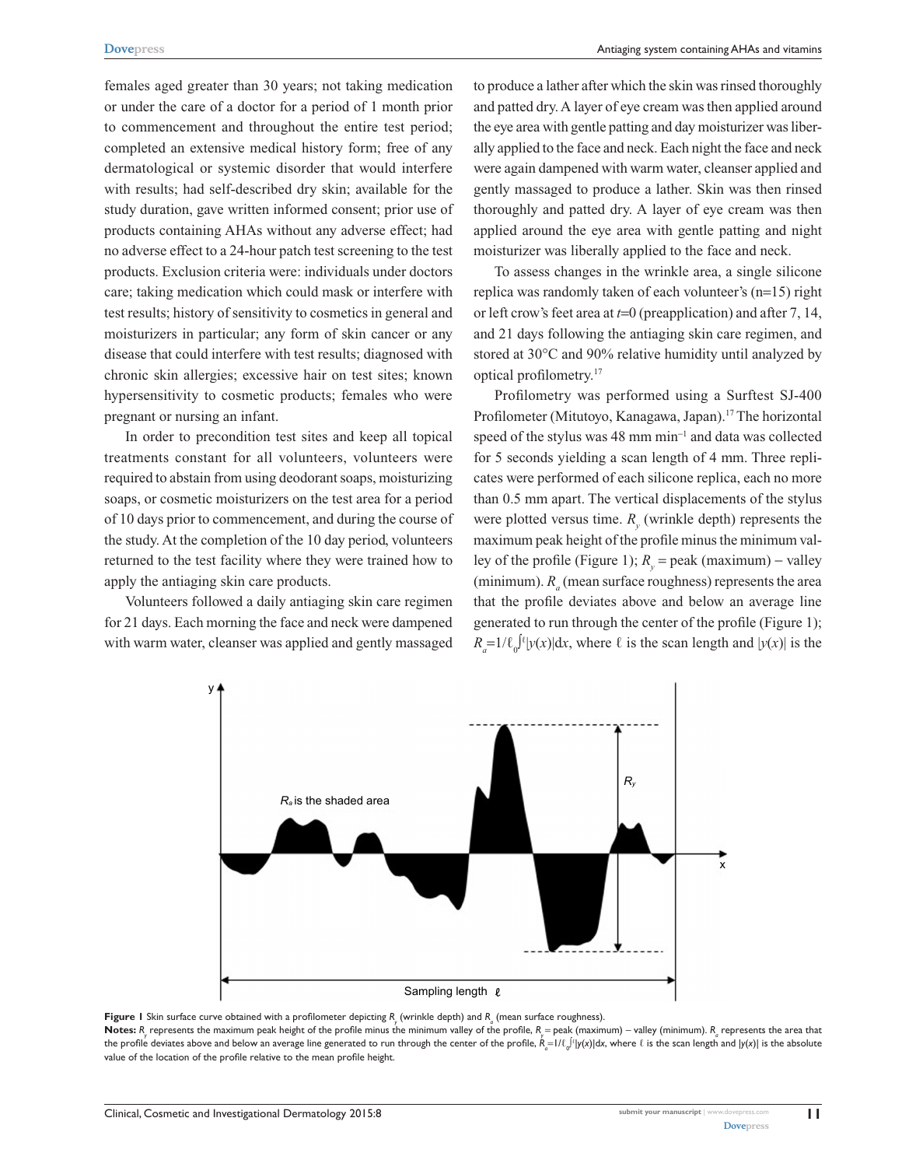females aged greater than 30 years; not taking medication or under the care of a doctor for a period of 1 month prior to commencement and throughout the entire test period; completed an extensive medical history form; free of any dermatological or systemic disorder that would interfere with results; had self-described dry skin; available for the study duration, gave written informed consent; prior use of products containing AHAs without any adverse effect; had no adverse effect to a 24-hour patch test screening to the test products. Exclusion criteria were: individuals under doctors care; taking medication which could mask or interfere with test results; history of sensitivity to cosmetics in general and moisturizers in particular; any form of skin cancer or any disease that could interfere with test results; diagnosed with chronic skin allergies; excessive hair on test sites; known hypersensitivity to cosmetic products; females who were pregnant or nursing an infant.

In order to precondition test sites and keep all topical treatments constant for all volunteers, volunteers were required to abstain from using deodorant soaps, moisturizing soaps, or cosmetic moisturizers on the test area for a period of 10 days prior to commencement, and during the course of the study. At the completion of the 10 day period, volunteers returned to the test facility where they were trained how to apply the antiaging skin care products.

Volunteers followed a daily antiaging skin care regimen for 21 days. Each morning the face and neck were dampened with warm water, cleanser was applied and gently massaged to produce a lather after which the skin was rinsed thoroughly and patted dry. A layer of eye cream was then applied around the eye area with gentle patting and day moisturizer was liberally applied to the face and neck. Each night the face and neck were again dampened with warm water, cleanser applied and gently massaged to produce a lather. Skin was then rinsed thoroughly and patted dry. A layer of eye cream was then applied around the eye area with gentle patting and night moisturizer was liberally applied to the face and neck.

To assess changes in the wrinkle area, a single silicone replica was randomly taken of each volunteer's (n=15) right or left crow's feet area at *t*=0 (preapplication) and after 7, 14, and 21 days following the antiaging skin care regimen, and stored at 30°C and 90% relative humidity until analyzed by optical profilometry.17

Profilometry was performed using a Surftest SJ-400 Profilometer (Mitutoyo, Kanagawa, Japan).<sup>17</sup> The horizontal speed of the stylus was 48 mm min<sup>-1</sup> and data was collected for 5 seconds yielding a scan length of 4 mm. Three replicates were performed of each silicone replica, each no more than 0.5 mm apart. The vertical displacements of the stylus were plotted versus time.  $R_{y}$  (wrinkle depth) represents the maximum peak height of the profile minus the minimum valley of the profile (Figure 1);  $R_y$  = peak (maximum) – valley (minimum).  $R_a$  (mean surface roughness) represents the area that the profile deviates above and below an average line generated to run through the center of the profile (Figure 1);  $R_a = 1/\ell_0$ <sup>[*t*</sup>] $y(x)$ |dx, where  $\ell$  is the scan length and  $|y(x)|$  is the



**Figure 1** Skin surface curve obtained with a profilometer depicting *Ry* (wrinkle depth) and *Ra* (mean surface roughness).

 ${\sf Notes:}$   $R_{_{\sf y}}$  represents the maximum peak height of the profile minus the minimum valley of the profile,  $R_{_{\sf y}}$ = peak (maximum) – valley (minimum).  $R_{_{\sf y}}$  represents the area that the profile deviates above and below an average line generated to run through the center of the profile,  $R_{\sigma} = I / \ell_{\sigma}^{\text{U}} \mu(\mathbf{x}) | \mathrm{d} \mathbf{x},$  where ℓ is the scan length and |y(x)| is the absolute value of the location of the profile relative to the mean profile height.

**11**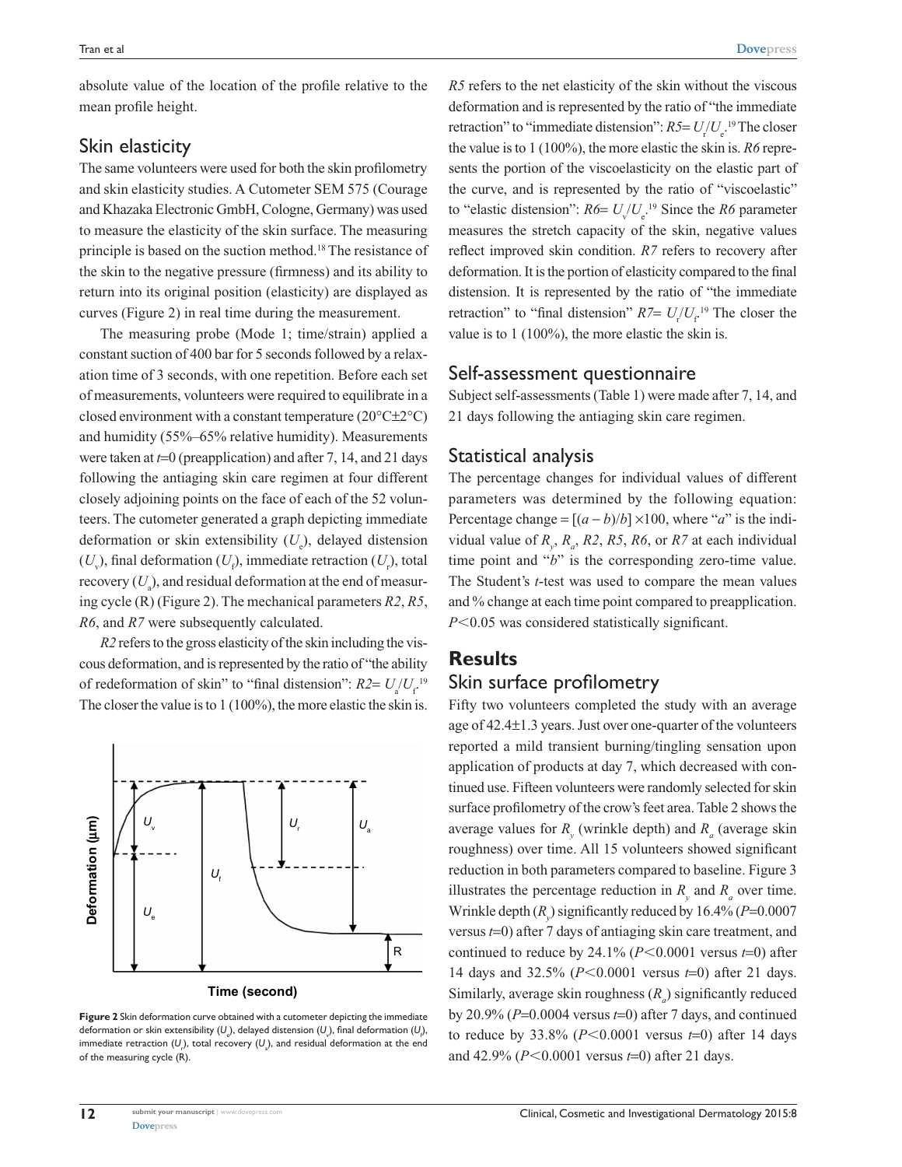absolute value of the location of the profile relative to the mean profile height.

#### Skin elasticity

The same volunteers were used for both the skin profilometry and skin elasticity studies. A Cutometer SEM 575 (Courage and Khazaka Electronic GmbH, Cologne, Germany) was used to measure the elasticity of the skin surface. The measuring principle is based on the suction method.<sup>18</sup> The resistance of the skin to the negative pressure (firmness) and its ability to return into its original position (elasticity) are displayed as curves (Figure 2) in real time during the measurement.

The measuring probe (Mode 1; time/strain) applied a constant suction of 400 bar for 5 seconds followed by a relaxation time of 3 seconds, with one repetition. Before each set of measurements, volunteers were required to equilibrate in a closed environment with a constant temperature (20°C±2°C) and humidity (55%–65% relative humidity). Measurements were taken at *t*=0 (preapplication) and after 7, 14, and 21 days following the antiaging skin care regimen at four different closely adjoining points on the face of each of the 52 volunteers. The cutometer generated a graph depicting immediate deformation or skin extensibility ( $U_e$ ), delayed distension  $(U_{\nu})$ , final deformation  $(U_{\rho})$ , immediate retraction  $(U_{\nu})$ , total recovery  $(U_{a})$ , and residual deformation at the end of measuring cycle (R) (Figure 2). The mechanical parameters *R2*, *R5*, *R6*, and *R7* were subsequently calculated.

*R2* refers to the gross elasticity of the skin including the viscous deformation, and is represented by the ratio of "the ability of redeformation of skin" to "final distension":  $R2 = U_a/U_f^{19}$ The closer the value is to 1 (100%), the more elastic the skin is.



**Figure 2** Skin deformation curve obtained with a cutometer depicting the immediate deformation or skin extensibility ( $U_{\hbox{\tiny e}}$ ), delayed distension ( $U_{\hbox{\tiny v}}$ ), final deformation ( $U_{\hbox{\tiny i}}$ ), immediate retraction  $(U_{\!\scriptscriptstyle\rm p}\!)$ , total recovery  $(U_{\!\scriptscriptstyle\rm a}\!)$ , and residual deformation at the end of the measuring cycle (R).

*R5* refers to the net elasticity of the skin without the viscous deformation and is represented by the ratio of "the immediate retraction" to "immediate distension":  $R5=U_r^{\dagger}U_e^{19}$  The closer the value is to 1 (100%), the more elastic the skin is. *R6* represents the portion of the viscoelasticity on the elastic part of the curve, and is represented by the ratio of "viscoelastic" to "elastic distension":  $R6 = U_v / U_e$ .<sup>19</sup> Since the  $R6$  parameter measures the stretch capacity of the skin, negative values reflect improved skin condition. *R7* refers to recovery after deformation. It is the portion of elasticity compared to the final distension. It is represented by the ratio of "the immediate retraction" to "final distension"  $R7 = U_r^1 U_r^{19}$  The closer the value is to 1 (100%), the more elastic the skin is.

#### Self-assessment questionnaire

Subject self-assessments (Table 1) were made after 7, 14, and 21 days following the antiaging skin care regimen.

#### Statistical analysis

The percentage changes for individual values of different parameters was determined by the following equation: Percentage change =  $[(a - b)/b] \times 100$ , where "*a*" is the individual value of  $R_y$ ,  $R_a$ ,  $R2$ ,  $R5$ ,  $R6$ , or  $R7$  at each individual time point and "*b*" is the corresponding zero-time value. The Student's *t*-test was used to compare the mean values and % change at each time point compared to preapplication. *P*<0.05 was considered statistically significant.

# **Results**

# Skin surface profilometry

Fifty two volunteers completed the study with an average age of 42.4±1.3 years. Just over one-quarter of the volunteers reported a mild transient burning/tingling sensation upon application of products at day 7, which decreased with continued use. Fifteen volunteers were randomly selected for skin surface profilometry of the crow's feet area. Table 2 shows the average values for  $R_{y}$  (wrinkle depth) and  $R_{a}$  (average skin roughness) over time. All 15 volunteers showed significant reduction in both parameters compared to baseline. Figure 3 illustrates the percentage reduction in  $R<sub>y</sub>$  and  $R<sub>a</sub>$  over time. Wrinkle depth (*Ry* ) significantly reduced by 16.4% (*P*=0.0007 versus *t*=0) after 7 days of antiaging skin care treatment, and continued to reduce by 24.1% ( $P \le 0.0001$  versus  $t=0$ ) after 14 days and 32.5% (*P*<0.0001 versus *t*=0) after 21 days. Similarly, average skin roughness  $(R_a)$  significantly reduced by 20.9% (*P*=0.0004 versus *t*=0) after 7 days, and continued to reduce by  $33.8\%$  ( $P < 0.0001$  versus  $t = 0$ ) after 14 days and 42.9% (*P*<0.0001 versus *t*=0) after 21 days.

**12**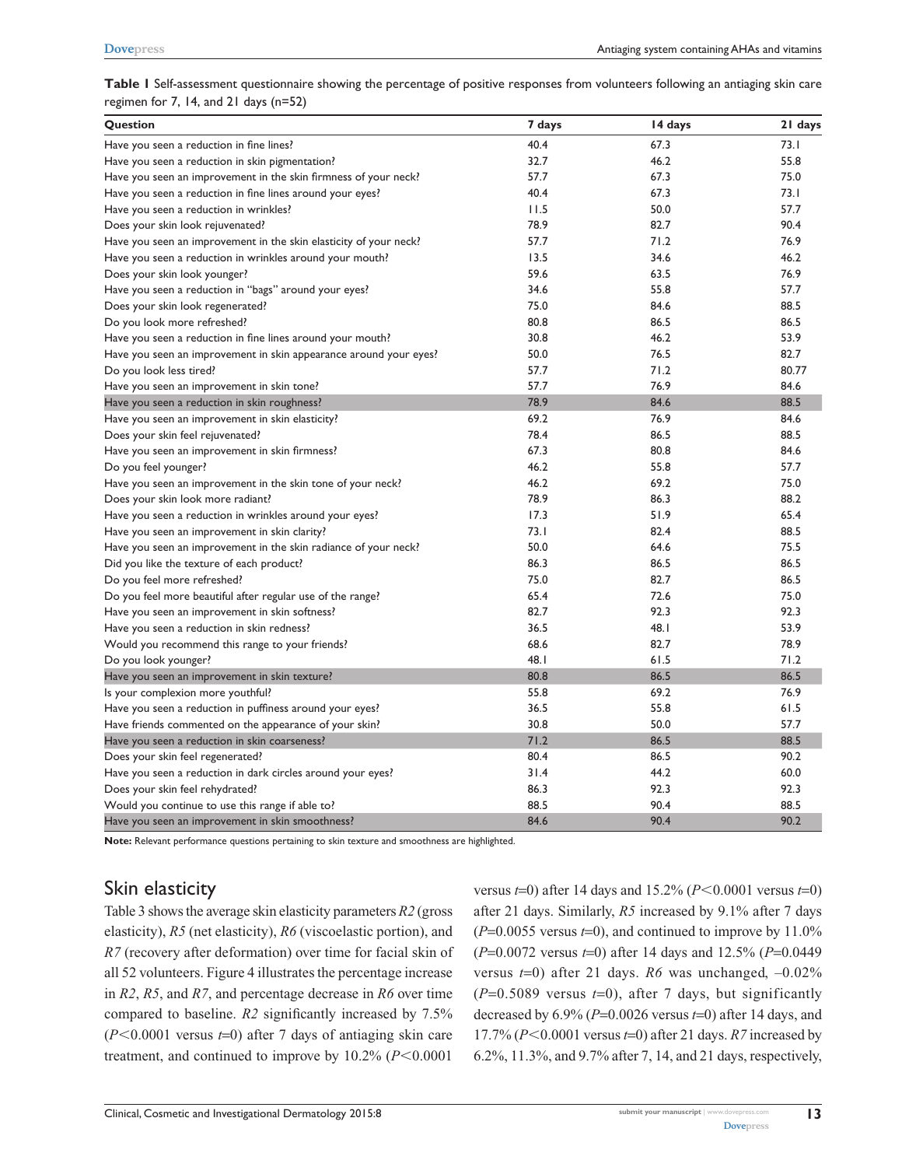| Table I Self-assessment questionnaire showing the percentage of positive responses from volunteers following an antiaging skin care |  |  |  |  |  |
|-------------------------------------------------------------------------------------------------------------------------------------|--|--|--|--|--|
| regimen for 7, 14, and 21 days $(n=52)$                                                                                             |  |  |  |  |  |

| Question                                                          | 7 days | 14 days | 21 days |
|-------------------------------------------------------------------|--------|---------|---------|
| Have you seen a reduction in fine lines?                          | 40.4   | 67.3    | 73.1    |
| Have you seen a reduction in skin pigmentation?                   | 32.7   | 46.2    | 55.8    |
| Have you seen an improvement in the skin firmness of your neck?   | 57.7   | 67.3    | 75.0    |
| Have you seen a reduction in fine lines around your eyes?         | 40.4   | 67.3    | 73.1    |
| Have you seen a reduction in wrinkles?                            | 11.5   | 50.0    | 57.7    |
| Does your skin look rejuvenated?                                  | 78.9   | 82.7    | 90.4    |
| Have you seen an improvement in the skin elasticity of your neck? | 57.7   | 71.2    | 76.9    |
| Have you seen a reduction in wrinkles around your mouth?          | 13.5   | 34.6    | 46.2    |
| Does your skin look younger?                                      | 59.6   | 63.5    | 76.9    |
| Have you seen a reduction in "bags" around your eyes?             | 34.6   | 55.8    | 57.7    |
| Does your skin look regenerated?                                  | 75.0   | 84.6    | 88.5    |
| Do you look more refreshed?                                       | 80.8   | 86.5    | 86.5    |
| Have you seen a reduction in fine lines around your mouth?        | 30.8   | 46.2    | 53.9    |
| Have you seen an improvement in skin appearance around your eyes? | 50.0   | 76.5    | 82.7    |
| Do you look less tired?                                           | 57.7   | 71.2    | 80.77   |
| Have you seen an improvement in skin tone?                        | 57.7   | 76.9    | 84.6    |
| Have you seen a reduction in skin roughness?                      | 78.9   | 84.6    | 88.5    |
| Have you seen an improvement in skin elasticity?                  | 69.2   | 76.9    | 84.6    |
| Does your skin feel rejuvenated?                                  | 78.4   | 86.5    | 88.5    |
| Have you seen an improvement in skin firmness?                    | 67.3   | 80.8    | 84.6    |
| Do you feel younger?                                              | 46.2   | 55.8    | 57.7    |
| Have you seen an improvement in the skin tone of your neck?       | 46.2   | 69.2    | 75.0    |
| Does your skin look more radiant?                                 | 78.9   | 86.3    | 88.2    |
| Have you seen a reduction in wrinkles around your eyes?           | 17.3   | 51.9    | 65.4    |
| Have you seen an improvement in skin clarity?                     | 73.1   | 82.4    | 88.5    |
| Have you seen an improvement in the skin radiance of your neck?   | 50.0   | 64.6    | 75.5    |
| Did you like the texture of each product?                         | 86.3   | 86.5    | 86.5    |
| Do you feel more refreshed?                                       | 75.0   | 82.7    | 86.5    |
| Do you feel more beautiful after regular use of the range?        | 65.4   | 72.6    | 75.0    |
| Have you seen an improvement in skin softness?                    | 82.7   | 92.3    | 92.3    |
| Have you seen a reduction in skin redness?                        | 36.5   | 48.I    | 53.9    |
| Would you recommend this range to your friends?                   | 68.6   | 82.7    | 78.9    |
| Do you look younger?                                              | 48.I   | 61.5    | 71.2    |
| Have you seen an improvement in skin texture?                     | 80.8   | 86.5    | 86.5    |
| Is your complexion more youthful?                                 | 55.8   | 69.2    | 76.9    |
| Have you seen a reduction in puffiness around your eyes?          | 36.5   | 55.8    | 61.5    |
| Have friends commented on the appearance of your skin?            | 30.8   | 50.0    | 57.7    |
| Have you seen a reduction in skin coarseness?                     | 71.2   | 86.5    | 88.5    |
| Does your skin feel regenerated?                                  | 80.4   | 86.5    | 90.2    |
| Have you seen a reduction in dark circles around your eyes?       | 31.4   | 44.2    | 60.0    |
| Does your skin feel rehydrated?                                   | 86.3   | 92.3    | 92.3    |
| Would you continue to use this range if able to?                  | 88.5   | 90.4    | 88.5    |
| Have you seen an improvement in skin smoothness?                  | 84.6   | 90.4    | 90.2    |

**Note:** Relevant performance questions pertaining to skin texture and smoothness are highlighted.

# Skin elasticity

Table 3 shows the average skin elasticity parameters *R2* (gross elasticity), *R5* (net elasticity), *R6* (viscoelastic portion), and *R7* (recovery after deformation) over time for facial skin of all 52 volunteers. Figure 4 illustrates the percentage increase in *R2*, *R5*, and *R7*, and percentage decrease in *R6* over time compared to baseline. *R2* significantly increased by 7.5%  $(P<0.0001$  versus  $t=0$ ) after 7 days of antiaging skin care treatment, and continued to improve by  $10.2\%$  ( $P$ <0.0001)

versus *t*=0) after 14 days and 15.2% ( $P$ <0.0001 versus *t*=0) after 21 days. Similarly, *R5* increased by 9.1% after 7 days  $(P=0.0055$  versus  $t=0$ ), and continued to improve by 11.0% (*P*=0.0072 versus *t*=0) after 14 days and 12.5% (*P*=0.0449 versus *t*=0) after 21 days. *R6* was unchanged, –0.02%  $(P=0.5089$  versus  $t=0$ ), after 7 days, but significantly decreased by 6.9% (*P*=0.0026 versus *t*=0) after 14 days, and 17.7% (*P*,0.0001 versus *t*=0) after 21 days. *R7* increased by 6.2%, 11.3%, and 9.7% after 7, 14, and 21 days, respectively,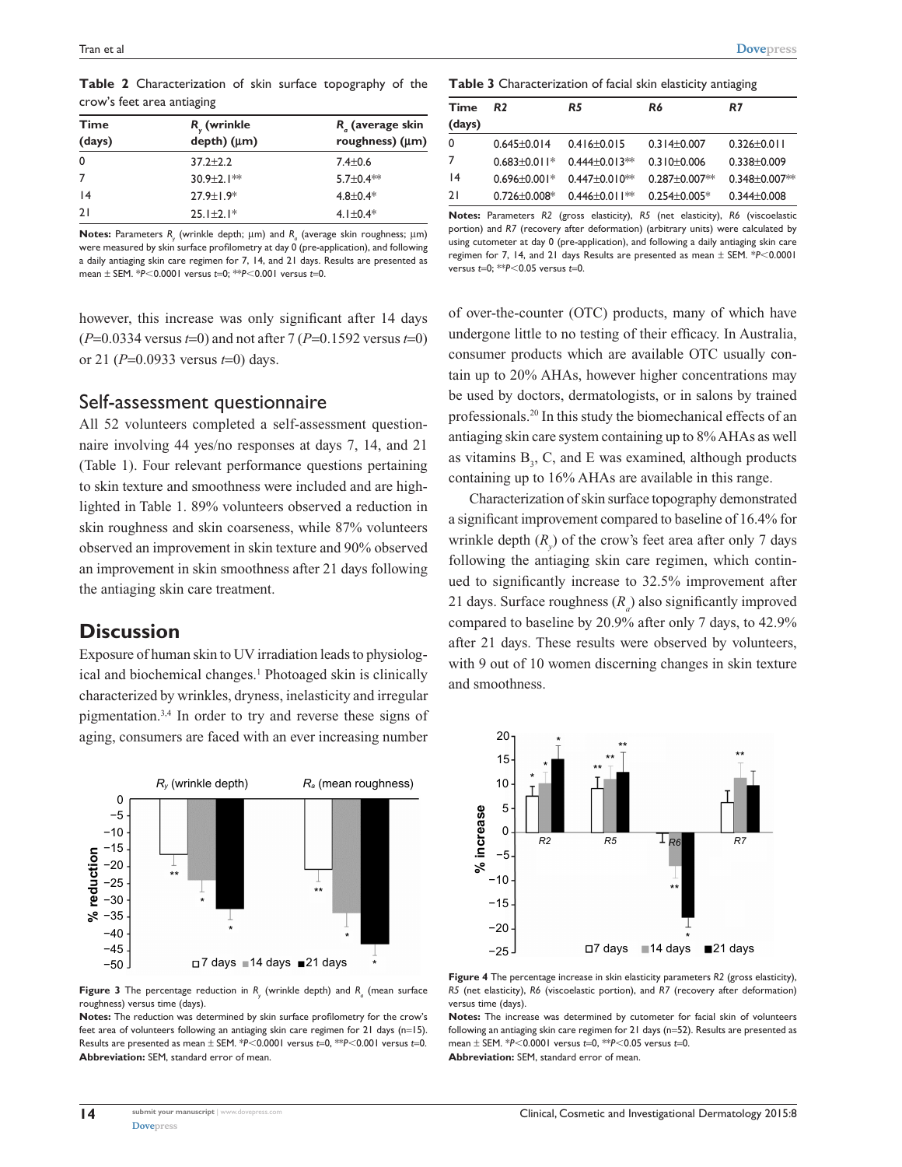|  | Table 2 Characterization of skin surface topography of the |  |  |  |
|--|------------------------------------------------------------|--|--|--|
|  | crow's feet area antiaging                                 |  |  |  |

| <b>Time</b><br>(days) | $R_{v}$ (wrinkle<br>$depth)$ ( $µm)$ | $R_{a}$ (average skin<br>roughness) $(\mu m)$ |  |  |
|-----------------------|--------------------------------------|-----------------------------------------------|--|--|
| 0                     | $37.2 + 2.2$                         | $7.4 \pm 0.6$                                 |  |  |
| 7                     | $30.9 \pm 2.1$ **                    | $5.7 \pm 0.4**$                               |  |  |
| 4                     | $27.9 \pm 1.9^*$                     | $4.8 + 0.4*$                                  |  |  |
| 21                    | $25.1 \pm 2.1*$                      | 4.1 $\pm$ 0.4*                                |  |  |

**Notes:** Parameters *R<sub>y</sub>* (wrinkle depth; μm) and *R<sub>a</sub>* (average skin roughness; μm) were measured by skin surface profilometry at day 0 (pre-application), and following a daily antiaging skin care regimen for 7, 14, and 21 days. Results are presented as mean ± SEM. \**P*,0.0001 versus *t*=0; \*\**P*,0.001 versus *t*=0.

however, this increase was only significant after 14 days (*P*=0.0334 versus *t*=0) and not after 7 (*P*=0.1592 versus *t*=0) or 21 (*P*=0.0933 versus *t*=0) days.

#### Self-assessment questionnaire

All 52 volunteers completed a self-assessment questionnaire involving 44 yes/no responses at days 7, 14, and 21 (Table 1). Four relevant performance questions pertaining to skin texture and smoothness were included and are highlighted in Table 1. 89% volunteers observed a reduction in skin roughness and skin coarseness, while 87% volunteers observed an improvement in skin texture and 90% observed an improvement in skin smoothness after 21 days following the antiaging skin care treatment.

# **Discussion**

Exposure of human skin to UV irradiation leads to physiological and biochemical changes.<sup>1</sup> Photoaged skin is clinically characterized by wrinkles, dryness, inelasticity and irregular pigmentation.3,4 In order to try and reverse these signs of aging, consumers are faced with an ever increasing number



**Figure 3** The percentage reduction in  $R$ <sub>y</sub> (wrinkle depth) and  $R$ <sub>a</sub> (mean surface roughness) versus time (days).

**Notes:** The reduction was determined by skin surface profilometry for the crow's feet area of volunteers following an antiaging skin care regimen for 21 days (n=15). Results are presented as mean ± SEM. \**P*,0.0001 versus *t*=0, \*\**P*,0.001 versus *t*=0. **Abbreviation:** SEM, standard error of mean.

**14**

**Table 3** Characterization of facial skin elasticity antiaging

| <b>Time</b><br>(days) | R2                 | R5                   | R6                 | R7                |
|-----------------------|--------------------|----------------------|--------------------|-------------------|
| 0                     | $0.645 \pm 0.014$  | $0.416 \pm 0.015$    | $0.314 \pm 0.007$  | $0.326 \pm 0.011$ |
| $\overline{7}$        | $0.683 \pm 0.011*$ | $0.444 \pm 0.013**$  | $0.310 + 0.006$    | $0.338 + 0.009$   |
| 14                    | $0.696 \pm 0.001*$ | $0.447 \pm 0.010**$  | $0.287 + 0.007**$  | $0.348 + 0.007**$ |
| 21                    | $0.726 + 0.008*$   | $0.446 \pm 0.011$ ** | $0.254 \pm 0.005*$ | $0.344 + 0.008$   |
|                       |                    |                      |                    |                   |

**Notes:** Parameters *R2* (gross elasticity), *R5* (net elasticity), *R6* (viscoelastic portion) and *R7* (recovery after deformation) (arbitrary units) were calculated by using cutometer at day 0 (pre-application), and following a daily antiaging skin care regimen for 7, 14, and 21 days Results are presented as mean  $\pm$  SEM. \**P*<0.0001 versus *t*=0; \*\**P*,0.05 versus *t*=0.

of over-the-counter (OTC) products, many of which have undergone little to no testing of their efficacy. In Australia, consumer products which are available OTC usually contain up to 20% AHAs, however higher concentrations may be used by doctors, dermatologists, or in salons by trained professionals.20 In this study the biomechanical effects of an antiaging skin care system containing up to 8% AHAs as well as vitamins  $B_3$ , C, and E was examined, although products containing up to 16% AHAs are available in this range.

Characterization of skin surface topography demonstrated a significant improvement compared to baseline of 16.4% for wrinkle depth  $(R<sub>y</sub>)$  of the crow's feet area after only 7 days following the antiaging skin care regimen, which continued to significantly increase to 32.5% improvement after 21 days. Surface roughness  $(R_a)$  also significantly improved compared to baseline by 20.9% after only 7 days, to 42.9% after 21 days. These results were observed by volunteers, with 9 out of 10 women discerning changes in skin texture and smoothness.



**Figure 4** The percentage increase in skin elasticity parameters *R2* (gross elasticity), *R5* (net elasticity), *R6* (viscoelastic portion), and *R7* (recovery after deformation) versus time (days).

**Notes:** The increase was determined by cutometer for facial skin of volunteers following an antiaging skin care regimen for 21 days (n=52). Results are presented as mean ± SEM. \**P*,0.0001 versus *t*=0, \*\**P*,0.05 versus *t*=0. **Abbreviation:** SEM, standard error of mean.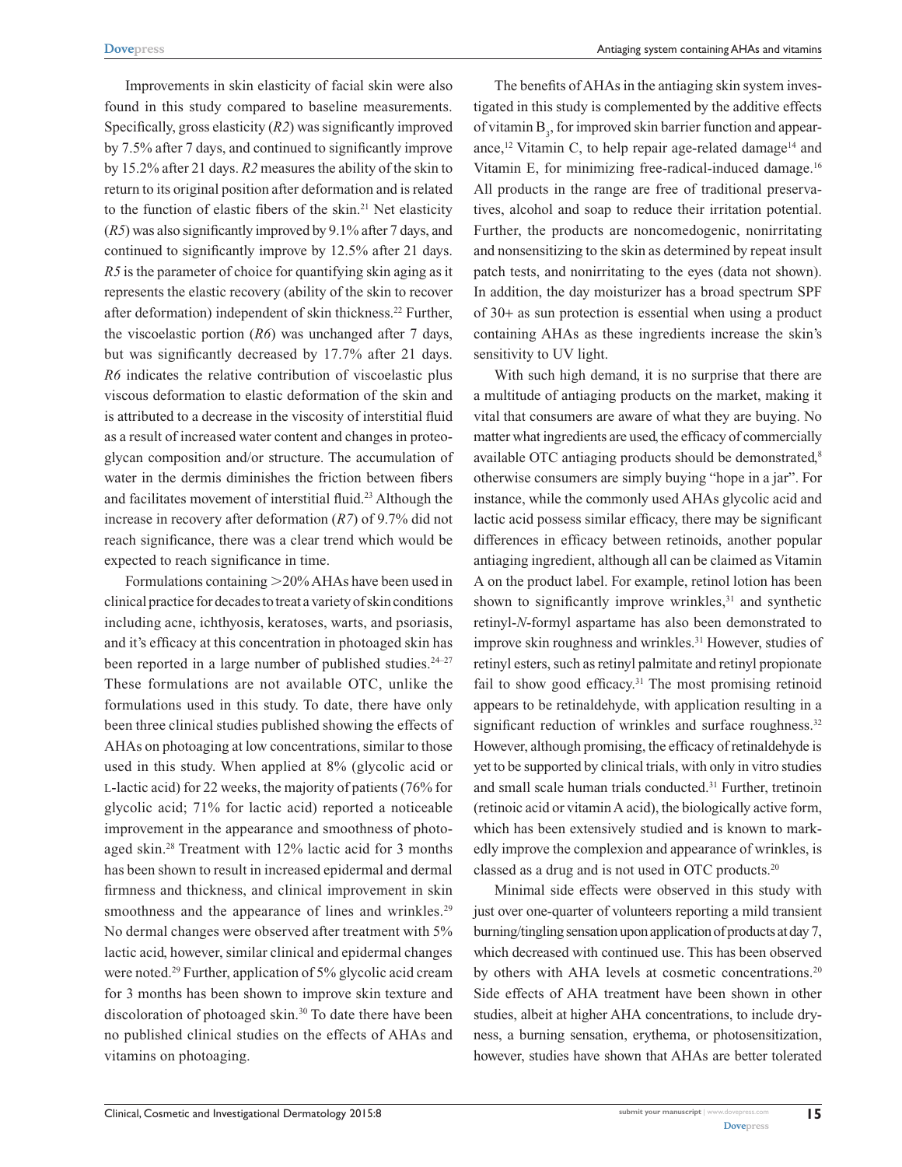Improvements in skin elasticity of facial skin were also found in this study compared to baseline measurements. Specifically, gross elasticity (*R2*) was significantly improved by 7.5% after 7 days, and continued to significantly improve by 15.2% after 21 days. *R2* measures the ability of the skin to return to its original position after deformation and is related to the function of elastic fibers of the skin.<sup>21</sup> Net elasticity (*R5*) was also significantly improved by 9.1% after 7 days, and continued to significantly improve by 12.5% after 21 days. *R5* is the parameter of choice for quantifying skin aging as it represents the elastic recovery (ability of the skin to recover after deformation) independent of skin thickness.<sup>22</sup> Further, the viscoelastic portion (*R6*) was unchanged after 7 days, but was significantly decreased by 17.7% after 21 days. *R6* indicates the relative contribution of viscoelastic plus viscous deformation to elastic deformation of the skin and is attributed to a decrease in the viscosity of interstitial fluid as a result of increased water content and changes in proteoglycan composition and/or structure. The accumulation of water in the dermis diminishes the friction between fibers and facilitates movement of interstitial fluid.<sup>23</sup> Although the increase in recovery after deformation (*R7*) of 9.7% did not reach significance, there was a clear trend which would be expected to reach significance in time.

Formulations containing  $>$  20% AHAs have been used in clinical practice for decades to treat a variety of skin conditions including acne, ichthyosis, keratoses, warts, and psoriasis, and it's efficacy at this concentration in photoaged skin has been reported in a large number of published studies. $24-27$ These formulations are not available OTC, unlike the formulations used in this study. To date, there have only been three clinical studies published showing the effects of AHAs on photoaging at low concentrations, similar to those used in this study. When applied at 8% (glycolic acid or l-lactic acid) for 22 weeks, the majority of patients (76% for glycolic acid; 71% for lactic acid) reported a noticeable improvement in the appearance and smoothness of photoaged skin.28 Treatment with 12% lactic acid for 3 months has been shown to result in increased epidermal and dermal firmness and thickness, and clinical improvement in skin smoothness and the appearance of lines and wrinkles.<sup>29</sup> No dermal changes were observed after treatment with 5% lactic acid, however, similar clinical and epidermal changes were noted.<sup>29</sup> Further, application of 5% glycolic acid cream for 3 months has been shown to improve skin texture and discoloration of photoaged skin.<sup>30</sup> To date there have been no published clinical studies on the effects of AHAs and vitamins on photoaging.

The benefits of AHAs in the antiaging skin system investigated in this study is complemented by the additive effects of vitamin  $B_3$ , for improved skin barrier function and appearance,<sup>12</sup> Vitamin C, to help repair age-related damage<sup>14</sup> and Vitamin E, for minimizing free-radical-induced damage.<sup>16</sup> All products in the range are free of traditional preservatives, alcohol and soap to reduce their irritation potential. Further, the products are noncomedogenic, nonirritating and nonsensitizing to the skin as determined by repeat insult patch tests, and nonirritating to the eyes (data not shown). In addition, the day moisturizer has a broad spectrum SPF of 30+ as sun protection is essential when using a product containing AHAs as these ingredients increase the skin's sensitivity to UV light.

With such high demand, it is no surprise that there are a multitude of antiaging products on the market, making it vital that consumers are aware of what they are buying. No matter what ingredients are used, the efficacy of commercially available OTC antiaging products should be demonstrated,<sup>8</sup> otherwise consumers are simply buying "hope in a jar". For instance, while the commonly used AHAs glycolic acid and lactic acid possess similar efficacy, there may be significant differences in efficacy between retinoids, another popular antiaging ingredient, although all can be claimed as Vitamin A on the product label. For example, retinol lotion has been shown to significantly improve wrinkles, $31$  and synthetic retinyl-*N*-formyl aspartame has also been demonstrated to improve skin roughness and wrinkles.<sup>31</sup> However, studies of retinyl esters, such as retinyl palmitate and retinyl propionate fail to show good efficacy.<sup>31</sup> The most promising retinoid appears to be retinaldehyde, with application resulting in a significant reduction of wrinkles and surface roughness.<sup>32</sup> However, although promising, the efficacy of retinaldehyde is yet to be supported by clinical trials, with only in vitro studies and small scale human trials conducted.<sup>31</sup> Further, tretinoin (retinoic acid or vitamin A acid), the biologically active form, which has been extensively studied and is known to markedly improve the complexion and appearance of wrinkles, is classed as a drug and is not used in OTC products.20

Minimal side effects were observed in this study with just over one-quarter of volunteers reporting a mild transient burning/tingling sensation upon application of products at day 7, which decreased with continued use. This has been observed by others with AHA levels at cosmetic concentrations.<sup>20</sup> Side effects of AHA treatment have been shown in other studies, albeit at higher AHA concentrations, to include dryness, a burning sensation, erythema, or photosensitization, however, studies have shown that AHAs are better tolerated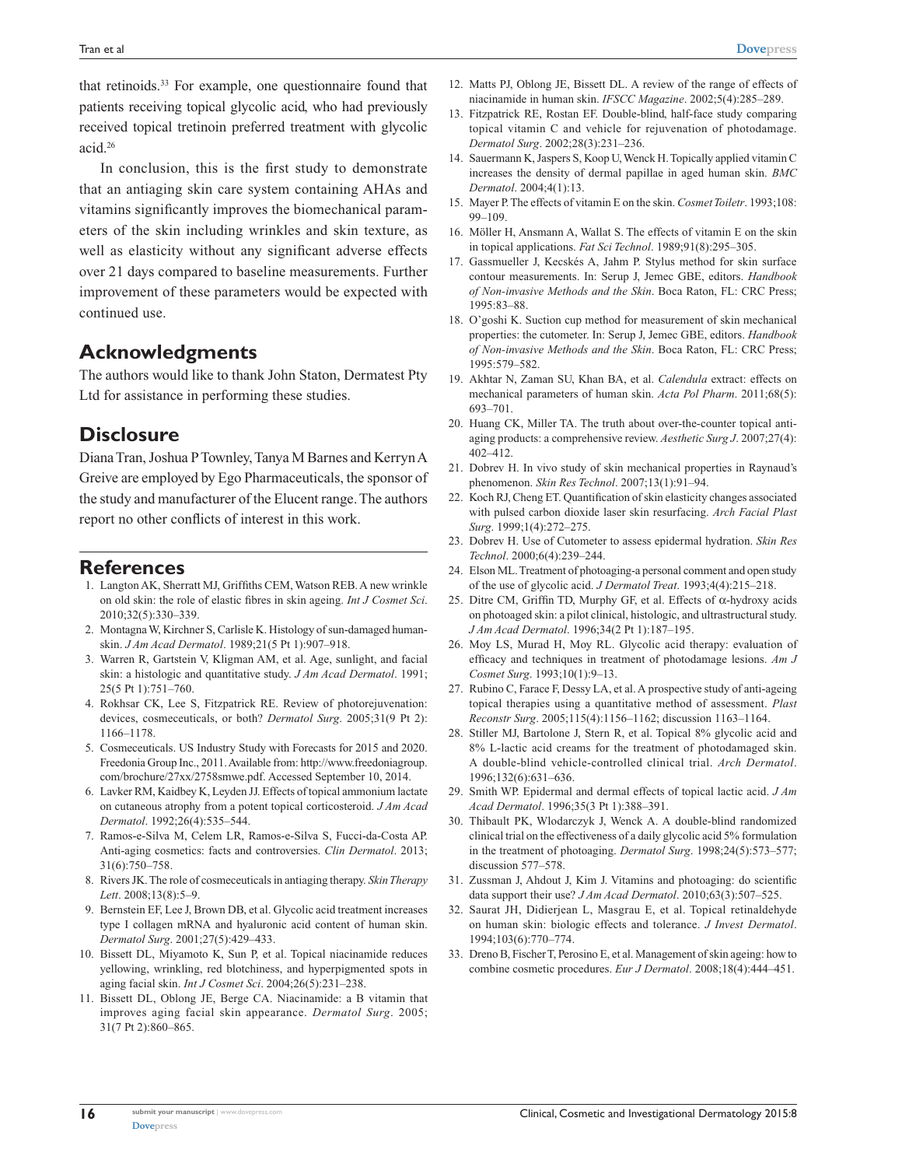that retinoids.33 For example, one questionnaire found that patients receiving topical glycolic acid, who had previously received topical tretinoin preferred treatment with glycolic acid.26

In conclusion, this is the first study to demonstrate that an antiaging skin care system containing AHAs and vitamins significantly improves the biomechanical parameters of the skin including wrinkles and skin texture, as well as elasticity without any significant adverse effects over 21 days compared to baseline measurements. Further improvement of these parameters would be expected with continued use.

# **Acknowledgments**

The authors would like to thank John Staton, Dermatest Pty Ltd for assistance in performing these studies.

#### **Disclosure**

Diana Tran, Joshua P Townley, Tanya M Barnes and Kerryn A Greive are employed by Ego Pharmaceuticals, the sponsor of the study and manufacturer of the Elucent range. The authors report no other conflicts of interest in this work.

#### **References**

- 1. Langton AK, Sherratt MJ, Griffiths CEM, Watson REB. A new wrinkle on old skin: the role of elastic fibres in skin ageing. *Int J Cosmet Sci*. 2010;32(5):330–339.
- 2. Montagna W, Kirchner S, Carlisle K. Histology of sun-damaged humanskin. *J Am Acad Dermatol*. 1989;21(5 Pt 1):907–918.
- 3. Warren R, Gartstein V, Kligman AM, et al. Age, sunlight, and facial skin: a histologic and quantitative study. *J Am Acad Dermatol*. 1991; 25(5 Pt 1):751–760.
- 4. Rokhsar CK, Lee S, Fitzpatrick RE. Review of photorejuvenation: devices, cosmeceuticals, or both? *Dermatol Surg*. 2005;31(9 Pt 2): 1166–1178.
- 5. Cosmeceuticals. US Industry Study with Forecasts for 2015 and 2020. Freedonia Group Inc., 2011. Available from: [http://www.freedoniagroup.](http://www.freedoniagroup.com/brochure/27xx/ 2758smwe.pdf) [com/brochure/27xx/](http://www.freedoniagroup.com/brochure/27xx/ 2758smwe.pdf)2758smwe.pdf. Accessed September 10, 2014.
- 6. Lavker RM, Kaidbey K, Leyden JJ. Effects of topical ammonium lactate on cutaneous atrophy from a potent topical corticosteroid. *J Am Acad Dermatol*. 1992;26(4):535–544.
- 7. Ramos-e-Silva M, Celem LR, Ramos-e-Silva S, Fucci-da-Costa AP. Anti-aging cosmetics: facts and controversies. *Clin Dermatol*. 2013; 31(6):750–758.
- 8. Rivers JK. The role of cosmeceuticals in antiaging therapy. *Skin Therapy Lett*. 2008;13(8):5–9.
- 9. Bernstein EF, Lee J, Brown DB, et al. Glycolic acid treatment increases type I collagen mRNA and hyaluronic acid content of human skin. *Dermatol Surg*. 2001;27(5):429–433.
- 10. Bissett DL, Miyamoto K, Sun P, et al. Topical niacinamide reduces yellowing, wrinkling, red blotchiness, and hyperpigmented spots in aging facial skin. *Int J Cosmet Sci*. 2004;26(5):231–238.
- 11. Bissett DL, Oblong JE, Berge CA. Niacinamide: a B vitamin that improves aging facial skin appearance. *Dermatol Surg*. 2005; 31(7 Pt 2):860–865.
- 12. Matts PJ, Oblong JE, Bissett DL. A review of the range of effects of niacinamide in human skin. *IFSCC Magazine*. 2002;5(4):285–289.
- 13. Fitzpatrick RE, Rostan EF. Double-blind, half-face study comparing topical vitamin C and vehicle for rejuvenation of photodamage. *Dermatol Surg*. 2002;28(3):231–236.
- 14. Sauermann K, Jaspers S, Koop U, Wenck H. Topically applied vitamin C increases the density of dermal papillae in aged human skin. *BMC Dermatol*. 2004;4(1):13.
- 15. Mayer P. The effects of vitamin E on the skin. *Cosmet Toiletr*. 1993;108: 99–109.
- 16. Möller H, Ansmann A, Wallat S. The effects of vitamin E on the skin in topical applications. *Fat Sci Technol*. 1989;91(8):295–305.
- 17. Gassmueller J, Kecskés A, Jahm P. Stylus method for skin surface contour measurements. In: Serup J, Jemec GBE, editors. *Handbook of Non-invasive Methods and the Skin*. Boca Raton, FL: CRC Press; 1995:83–88.
- 18. O'goshi K. Suction cup method for measurement of skin mechanical properties: the cutometer. In: Serup J, Jemec GBE, editors. *Handbook of Non-invasive Methods and the Skin*. Boca Raton, FL: CRC Press; 1995:579–582.
- 19. Akhtar N, Zaman SU, Khan BA, et al. *Calendula* extract: effects on mechanical parameters of human skin. *Acta Pol Pharm*. 2011;68(5): 693–701.
- 20. Huang CK, Miller TA. The truth about over-the-counter topical antiaging products: a comprehensive review. *Aesthetic Surg J*. 2007;27(4): 402–412.
- 21. Dobrev H. In vivo study of skin mechanical properties in Raynaud's phenomenon. *Skin Res Technol*. 2007;13(1):91–94.
- 22. Koch RJ, Cheng ET. Quantification of skin elasticity changes associated with pulsed carbon dioxide laser skin resurfacing. *Arch Facial Plast Surg*. 1999;1(4):272–275.
- 23. Dobrev H. Use of Cutometer to assess epidermal hydration. *Skin Res Technol*. 2000;6(4):239–244.
- 24. Elson ML. Treatment of photoaging-a personal comment and open study of the use of glycolic acid. *J Dermatol Treat*. 1993;4(4):215–218.
- 25. Ditre CM, Griffin TD, Murphy GF, et al. Effects of α-hydroxy acids on photoaged skin: a pilot clinical, histologic, and ultrastructural study. *J Am Acad Dermatol*. 1996;34(2 Pt 1):187–195.
- 26. Moy LS, Murad H, Moy RL. Glycolic acid therapy: evaluation of efficacy and techniques in treatment of photodamage lesions. *Am J Cosmet Surg*. 1993;10(1):9–13.
- 27. Rubino C, Farace F, Dessy LA, et al. A prospective study of anti-ageing topical therapies using a quantitative method of assessment. *Plast Reconstr Surg*. 2005;115(4):1156–1162; discussion 1163–1164.
- 28. Stiller MJ, Bartolone J, Stern R, et al. Topical 8% glycolic acid and 8% L-lactic acid creams for the treatment of photodamaged skin. A double-blind vehicle-controlled clinical trial. *Arch Dermatol*. 1996;132(6):631–636.
- 29. Smith WP. Epidermal and dermal effects of topical lactic acid. *J Am Acad Dermatol*. 1996;35(3 Pt 1):388–391.
- 30. Thibault PK, Wlodarczyk J, Wenck A. A double-blind randomized clinical trial on the effectiveness of a daily glycolic acid 5% formulation in the treatment of photoaging. *Dermatol Surg*. 1998;24(5):573–577; discussion 577–578.
- 31. Zussman J, Ahdout J, Kim J. Vitamins and photoaging: do scientific data support their use? *J Am Acad Dermatol*. 2010;63(3):507–525.
- 32. Saurat JH, Didierjean L, Masgrau E, et al. Topical retinaldehyde on human skin: biologic effects and tolerance. *J Invest Dermatol*. 1994;103(6):770–774.
- 33. Dreno B, Fischer T, Perosino E, et al. Management of skin ageing: how to combine cosmetic procedures. *Eur J Dermatol*. 2008;18(4):444–451.

**16**